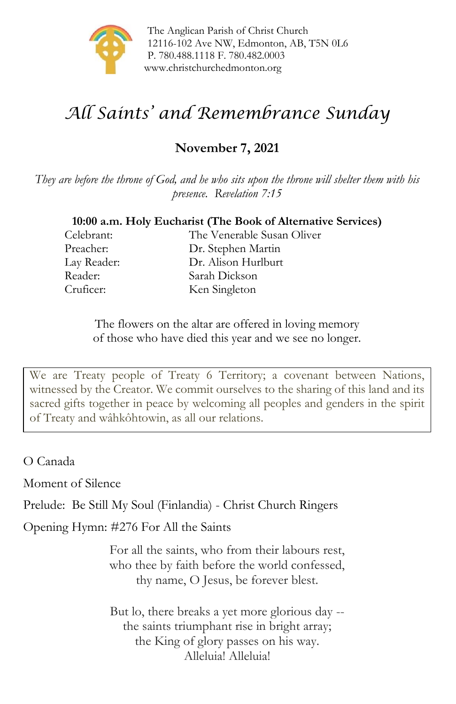

The Anglican Parish of Christ Church 12116-102 Ave NW, Edmonton, AB, T5N 0L6 P. 780.488.1118 F. 780.482.0003 [www.christchurchedmonton.org](http://www.christchurchedmonton.org/)

# *All Saints' and Remembrance Sunday*

# **November 7, 2021**

*They are before the throne of God, and he who sits upon the throne will shelter them with his presence. Revelation 7:15*

#### **10:00 a.m. Holy Eucharist (The Book of Alternative Services)**

Celebrant: The Venerable Susan Oliver Preacher: Dr. Stephen Martin Lay Reader: Dr. Alison Hurlburt Reader: Sarah Dickson Cruficer: Ken Singleton

> The flowers on the altar are offered in loving memory of those who have died this year and we see no longer.

We are Treaty people of Treaty 6 Territory; a covenant between Nations, witnessed by the Creator. We commit ourselves to the sharing of this land and its sacred gifts together in peace by welcoming all peoples and genders in the spirit of Treaty and wâhkôhtowin, as all our relations.

O Canada

Moment of Silence

Prelude: Be Still My Soul (Finlandia) - Christ Church Ringers

Opening Hymn: #276 For All the Saints

For all the saints, who from their labours rest, who thee by faith before the world confessed, thy name, O Jesus, be forever blest.

But lo, there breaks a yet more glorious day - the saints triumphant rise in bright array; the King of glory passes on his way. Alleluia! Alleluia!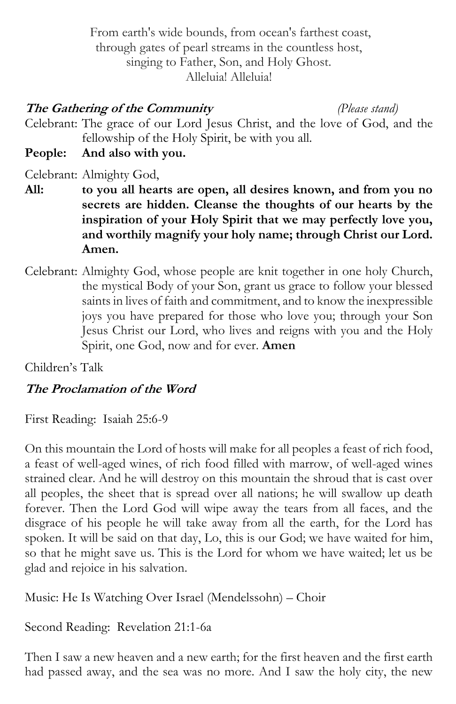From earth's wide bounds, from ocean's farthest coast, through gates of pearl streams in the countless host, singing to Father, Son, and Holy Ghost. Alleluia! Alleluia!

#### **The Gathering of the Community** *(Please stand)*

Celebrant: The grace of our Lord Jesus Christ, and the love of God, and the fellowship of the Holy Spirit, be with you all.

**People: And also with you.**

Celebrant: Almighty God,

- **All: to you all hearts are open, all desires known, and from you no secrets are hidden. Cleanse the thoughts of our hearts by the inspiration of your Holy Spirit that we may perfectly love you, and worthily magnify your holy name; through Christ our Lord. Amen.**
- Celebrant: Almighty God, whose people are knit together in one holy Church, the mystical Body of your Son, grant us grace to follow your blessed saints in lives of faith and commitment, and to know the inexpressible joys you have prepared for those who love you; through your Son Jesus Christ our Lord, who lives and reigns with you and the Holy Spirit, one God, now and for ever. **Amen**

Children's Talk

### **The Proclamation of the Word**

First Reading: Isaiah 25:6-9

On this mountain the Lord of hosts will make for all peoples a feast of rich food, a feast of well-aged wines, of rich food filled with marrow, of well-aged wines strained clear. And he will destroy on this mountain the shroud that is cast over all peoples, the sheet that is spread over all nations; he will swallow up death forever. Then the Lord God will wipe away the tears from all faces, and the disgrace of his people he will take away from all the earth, for the Lord has spoken. It will be said on that day, Lo, this is our God; we have waited for him, so that he might save us. This is the Lord for whom we have waited; let us be glad and rejoice in his salvation.

Music: He Is Watching Over Israel (Mendelssohn) – Choir

Second Reading: Revelation 21:1-6a

Then I saw a new heaven and a new earth; for the first heaven and the first earth had passed away, and the sea was no more. And I saw the holy city, the new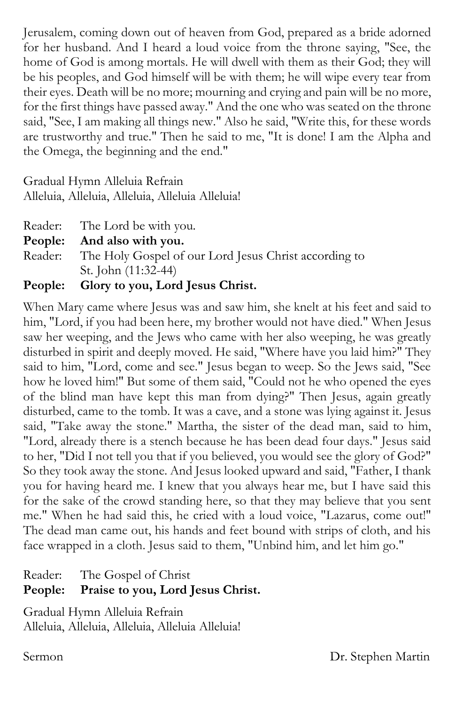Jerusalem, coming down out of heaven from God, prepared as a bride adorned for her husband. And I heard a loud voice from the throne saying, "See, the home of God is among mortals. He will dwell with them as their God; they will be his peoples, and God himself will be with them; he will wipe every tear from their eyes. Death will be no more; mourning and crying and pain will be no more, for the first things have passed away." And the one who was seated on the throne said, "See, I am making all things new." Also he said, "Write this, for these words are trustworthy and true." Then he said to me, "It is done! I am the Alpha and the Omega, the beginning and the end."

Gradual Hymn Alleluia Refrain Alleluia, Alleluia, Alleluia, Alleluia Alleluia!

| Reader: The Lord be with you.                                 |
|---------------------------------------------------------------|
| People: And also with you.                                    |
| Reader: The Holy Gospel of our Lord Jesus Christ according to |
| St. John (11:32-44)                                           |
| People: Glory to you, Lord Jesus Christ.                      |

When Mary came where Jesus was and saw him, she knelt at his feet and said to him, "Lord, if you had been here, my brother would not have died." When Jesus saw her weeping, and the Jews who came with her also weeping, he was greatly disturbed in spirit and deeply moved. He said, "Where have you laid him?" They said to him, "Lord, come and see." Jesus began to weep. So the Jews said, "See how he loved him!" But some of them said, "Could not he who opened the eyes of the blind man have kept this man from dying?" Then Jesus, again greatly disturbed, came to the tomb. It was a cave, and a stone was lying against it. Jesus said, "Take away the stone." Martha, the sister of the dead man, said to him, "Lord, already there is a stench because he has been dead four days." Jesus said to her, "Did I not tell you that if you believed, you would see the glory of God?" So they took away the stone. And Jesus looked upward and said, "Father, I thank you for having heard me. I knew that you always hear me, but I have said this for the sake of the crowd standing here, so that they may believe that you sent me." When he had said this, he cried with a loud voice, "Lazarus, come out!" The dead man came out, his hands and feet bound with strips of cloth, and his face wrapped in a cloth. Jesus said to them, "Unbind him, and let him go."

| People: Praise to you, Lord Jesus Christ. |
|-------------------------------------------|
| Reader: The Gospel of Christ              |

Gradual Hymn Alleluia Refrain Alleluia, Alleluia, Alleluia, Alleluia Alleluia!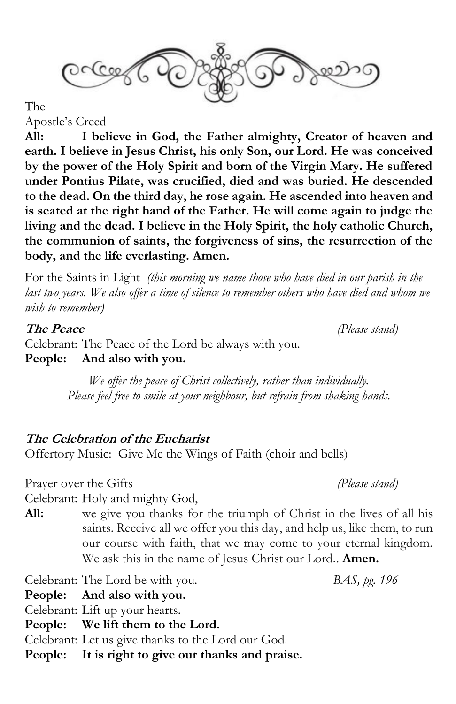

The

Apostle's Creed

**All: I believe in God, the Father almighty, Creator of heaven and earth. I believe in Jesus Christ, his only Son, our Lord. He was conceived by the power of the Holy Spirit and born of the Virgin Mary. He suffered under Pontius Pilate, was crucified, died and was buried. He descended to the dead. On the third day, he rose again. He ascended into heaven and is seated at the right hand of the Father. He will come again to judge the living and the dead. I believe in the Holy Spirit, the holy catholic Church, the communion of saints, the forgiveness of sins, the resurrection of the body, and the life everlasting. Amen.**

For the Saints in Light *(this morning we name those who have died in our parish in the*  last two years. We also offer a time of silence to remember others who have died and whom we *wish to remember)*

**The Peace** *(Please stand)*

Celebrant: The Peace of the Lord be always with you. **People: And also with you.**

> *We offer the peace of Christ collectively, rather than individually. Please feel free to smile at your neighbour, but refrain from shaking hands.*

#### **The Celebration of the Eucharist**

Offertory Music: Give Me the Wings of Faith (choir and bells)

Prayer over the Gifts *(Please stand)*

Celebrant: Holy and mighty God,

**All:** we give you thanks for the triumph of Christ in the lives of all his saints. Receive all we offer you this day, and help us, like them, to run our course with faith, that we may come to your eternal kingdom. We ask this in the name of Jesus Christ our Lord.. **Amen.**

Celebrant: The Lord be with you. *BAS, pg. 196*

**People: And also with you.**

Celebrant: Lift up your hearts.

**People: We lift them to the Lord.**

Celebrant: Let us give thanks to the Lord our God.

**People: It is right to give our thanks and praise.**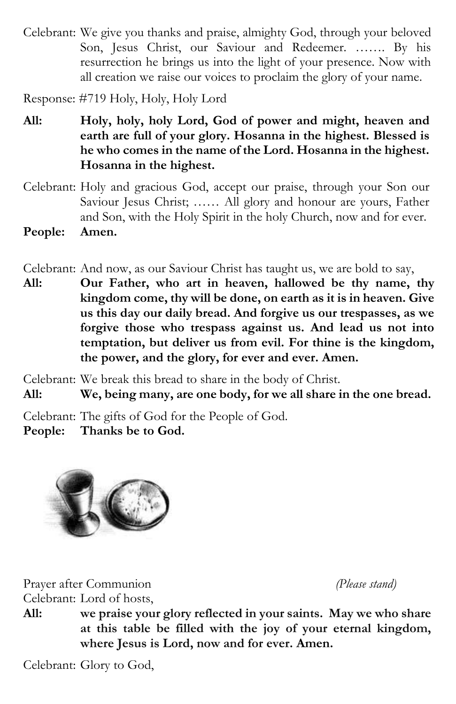Celebrant: We give you thanks and praise, almighty God, through your beloved Son, Jesus Christ, our Saviour and Redeemer. ……. By his resurrection he brings us into the light of your presence. Now with all creation we raise our voices to proclaim the glory of your name.

Response: #719 Holy, Holy, Holy Lord

- **All: Holy, holy, holy Lord, God of power and might, heaven and earth are full of your glory. Hosanna in the highest. Blessed is he who comes in the name of the Lord. Hosanna in the highest. Hosanna in the highest.**
- Celebrant: Holy and gracious God, accept our praise, through your Son our Saviour Jesus Christ; …… All glory and honour are yours, Father and Son, with the Holy Spirit in the holy Church, now and for ever. **People: Amen.**
- Celebrant: And now, as our Saviour Christ has taught us, we are bold to say,
- **All: Our Father, who art in heaven, hallowed be thy name, thy kingdom come, thy will be done, on earth as it is in heaven. Give us this day our daily bread. And forgive us our trespasses, as we forgive those who trespass against us. And lead us not into temptation, but deliver us from evil. For thine is the kingdom, the power, and the glory, for ever and ever. Amen.**

Celebrant: We break this bread to share in the body of Christ.

**All: We, being many, are one body, for we all share in the one bread.**

Celebrant: The gifts of God for the People of God.

**People: Thanks be to God.**



Prayer after Communion *(Please stand)* Celebrant: Lord of hosts,

**All: we praise your glory reflected in your saints. May we who share at this table be filled with the joy of your eternal kingdom, where Jesus is Lord, now and for ever. Amen.**

Celebrant: Glory to God,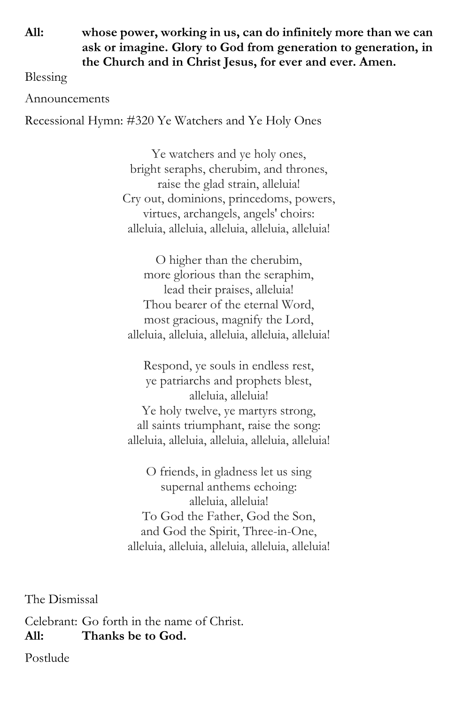**All: whose power, working in us, can do infinitely more than we can ask or imagine. Glory to God from generation to generation, in the Church and in Christ Jesus, for ever and ever. Amen.**

Blessing

Announcements

Recessional Hymn: #320 Ye Watchers and Ye Holy Ones

Ye watchers and ye holy ones, bright seraphs, cherubim, and thrones, raise the glad strain, alleluia! Cry out, dominions, princedoms, powers, virtues, archangels, angels' choirs: alleluia, alleluia, alleluia, alleluia, alleluia!

O higher than the cherubim, more glorious than the seraphim, lead their praises, alleluia! Thou bearer of the eternal Word, most gracious, magnify the Lord, alleluia, alleluia, alleluia, alleluia, alleluia!

Respond, ye souls in endless rest, ye patriarchs and prophets blest, alleluia, alleluia! Ye holy twelve, ye martyrs strong, all saints triumphant, raise the song: alleluia, alleluia, alleluia, alleluia, alleluia!

O friends, in gladness let us sing supernal anthems echoing: alleluia, alleluia! To God the Father, God the Son, and God the Spirit, Three-in-One, alleluia, alleluia, alleluia, alleluia, alleluia!

The Dismissal

Celebrant: Go forth in the name of Christ. **All: Thanks be to God.**

Postlude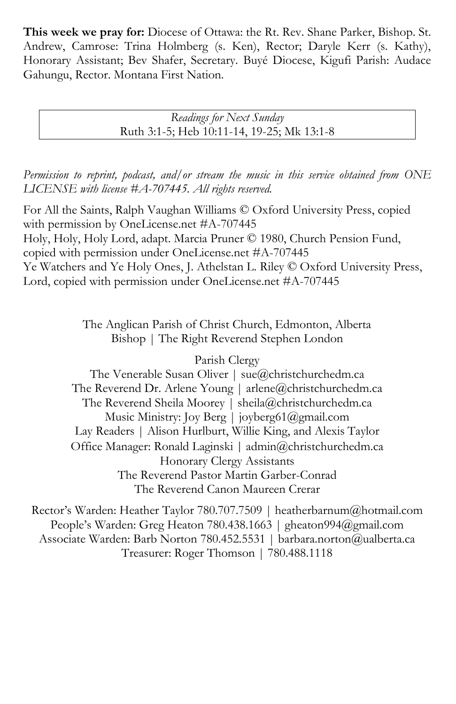**This week we pray for:** Diocese of Ottawa: the Rt. Rev. Shane Parker, Bishop. St. Andrew, Camrose: Trina Holmberg (s. Ken), Rector; Daryle Kerr (s. Kathy), Honorary Assistant; Bev Shafer, Secretary. Buyé Diocese, Kigufi Parish: Audace Gahungu, Rector. Montana First Nation.

> *Readings for Next Sunday* Ruth 3:1-5; Heb 10:11-14, 19-25; Mk 13:1-8

*Permission to reprint, podcast, and/or stream the music in this service obtained from ONE LICENSE with license #A-707445. All rights reserved.*

For All the Saints, Ralph Vaughan Williams © Oxford University Press, copied with permission by OneLicense.net #A-707445 Holy, Holy, Holy Lord, adapt. Marcia Pruner © 1980, Church Pension Fund, copied with permission under OneLicense.net #A-707445 Ye Watchers and Ye Holy Ones, J. Athelstan L. Riley © Oxford University Press, Lord, copied with permission under OneLicense.net #A-707445

> The Anglican Parish of Christ Church, Edmonton, Alberta Bishop | The Right Reverend Stephen London

> > Parish Clergy

The Venerable Susan Oliver | [sue@christchurchedm.ca](mailto:sue@christchurchedm.ca) The Reverend Dr. Arlene Young | [arlene@christchurchedm.ca](mailto:arlene@christchurchedm.ca) The Reverend Sheila Moorey | sheila@christchurchedm.ca Music Ministry: Joy Berg | joyberg61@gmail.com Lay Readers | Alison Hurlburt, Willie King, and Alexis Taylor Office Manager: Ronald Laginski | admin@christchurchedm.ca Honorary Clergy Assistants The Reverend Pastor Martin Garber-Conrad The Reverend Canon Maureen Crerar

Rector's Warden: Heather Taylor 780.707.7509 | heatherbarnum@hotmail.com People's Warden: Greg Heaton 780.438.1663 | gheaton994@gmail.com Associate Warden: Barb Norton 780.452.5531 | barbara.norton@ualberta.ca Treasurer: Roger Thomson | 780.488.1118